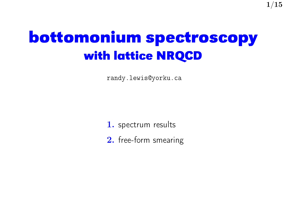# **bottomonium spectroscopy with lattice NRQCD**

 $1/15$ 

randy.lewis@yorku.ca

1. spectrum results

2. free-form smearing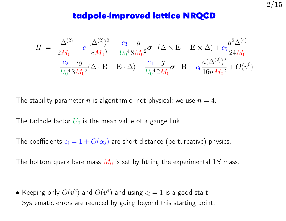#### **tadpole-improved lattice NRQCD**

$$
H = \frac{-\Delta^{(2)}}{2M_0} - c_1 \frac{(\Delta^{(2)})^2}{8M_0^3} - \frac{c_3}{U_0^4 8M_0^2} \sigma \cdot (\Delta \times \mathbf{E} - \mathbf{E} \times \Delta) + c_5 \frac{a^2 \Delta^{(4)}}{24M_0} + \frac{c_2}{U_0^4 8M_0^2} (\Delta \cdot \mathbf{E} - \mathbf{E} \cdot \Delta) - \frac{c_4}{U_0^4 2M_0} \sigma \cdot \mathbf{B} - c_6 \frac{a(\Delta^{(2)})^2}{16nM_0^2} + O(v^6)
$$

The stability parameter n is algorithmic, not physical; we use  $n = 4$ .

The tadpole factor  $U_0$  is the mean value of a gauge link.

The coefficients  $c_i = 1 + O(\alpha_s)$  are short-distance (perturbative) physics.

The bottom quark bare mass  $M_0$  is set by fitting the experimental 1S mass.

 $\bullet$  Keeping only  $O(v^2)$  and  $O(v^4)$  and using  $c_i=1$  is a good start. Systematic errors are reduced by going beyond this starting point.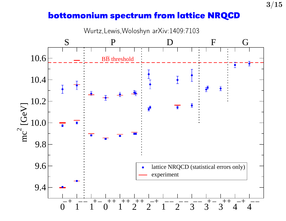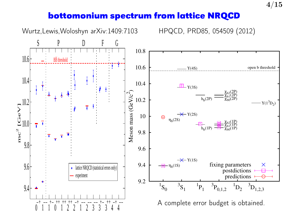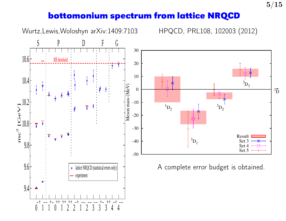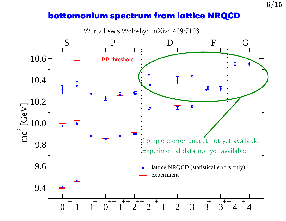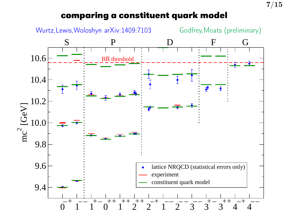# **comparing a constituent quark model**

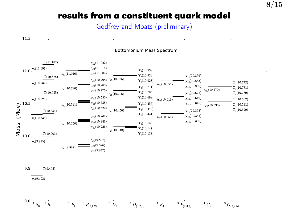### **results from a constituent quark model**

Godfrey and Moats (preliminary)

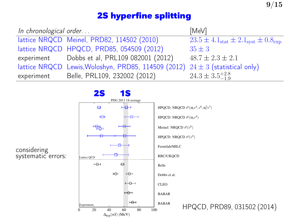# **2S hyperfine splitting**

| In chronological order |                                                                                   | [ $MeV$ ]                                                               |
|------------------------|-----------------------------------------------------------------------------------|-------------------------------------------------------------------------|
|                        | lattice NRQCD Meinel, PRD82, 114502 (2010)                                        | $23.5 \pm 4.1_{\text{stat}} \pm 2.1_{\text{syst}} \pm 0.8_{\text{exp}}$ |
|                        | lattice NRQCD HPQCD, PRD85, 054509 (2012)                                         | $35 \pm 3$                                                              |
|                        | experiment Dobbs et al, PRL109 082001 (2012)                                      | $48.7 \pm 2.3 \pm 2.1$                                                  |
|                        | lattice NRQCD Lewis, Woloshyn, PRD85, 114509 (2012) $24 \pm 3$ (statistical only) |                                                                         |
| experiment             | Belle, PRL109, 232002 (2012)                                                      | $24.3 \pm 3.5^{+2.8}_{-1.9}$                                            |



considering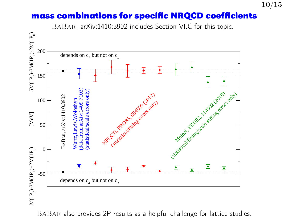### **mass combinations for specific NRQCD coefficients**

10/15

BaBar, arXiv:1410:3902 includes Section VI.C for this topic.



BaBar also provides 2P results as a helpful challenge for lattice studies.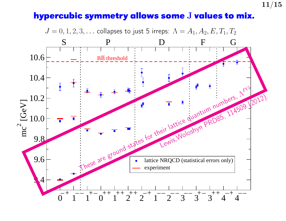# **hypercubic symmetry allows some** J **values to mix.**

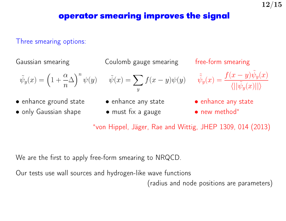Three smearing options:

Gaussian smearing Coulomb gauge smearing free-form smearing

$$
\tilde{\psi}_y(x) = \left(1 + \frac{\alpha}{n}\Delta\right)^n \psi(y) \qquad \tilde{\psi}(x) = \sum_{y}
$$

- enhance ground state enhance any state enhance any state
- only Gaussian shape must fix a gauge • new method<sup>\*</sup>
- 

 $\hat{y}$ 

$$
f(x - y)\psi(y) \qquad \tilde{\tilde{\psi}}_y(x) = \frac{f(x - y)\tilde{\psi}_y(x)}{\langle ||\tilde{\psi}_y(x)||\rangle}
$$

- 
- 

∗ von Hippel, Jäger, Rae and Wittig, JHEP 1309, 014 (2013)

We are the first to apply free-form smearing to NRQCD.

Our tests use wall sources and hydrogen-like wave functions

(radius and node positions are parameters)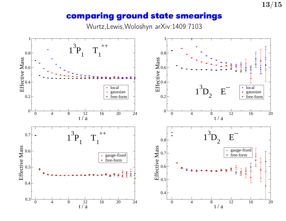#### **comparing ground state smearings**

Wurtz,Lewis,Woloshyn arXiv:1409:7103

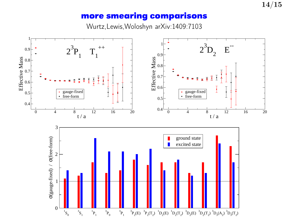#### **more smearing comparisons**

Wurtz,Lewis,Woloshyn arXiv:1409:7103